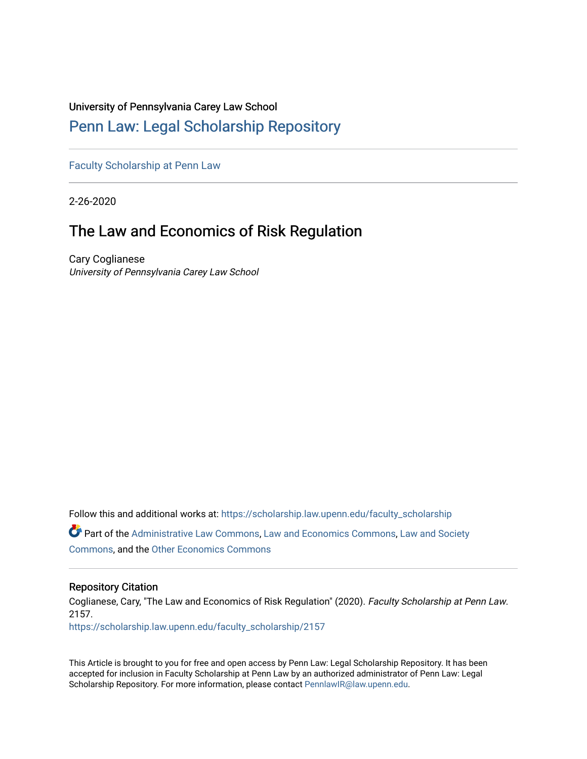### University of Pennsylvania Carey Law School

# [Penn Law: Legal Scholarship Repository](https://scholarship.law.upenn.edu/)

[Faculty Scholarship at Penn Law](https://scholarship.law.upenn.edu/faculty_scholarship)

2-26-2020

# The Law and Economics of Risk Regulation

Cary Coglianese University of Pennsylvania Carey Law School

Follow this and additional works at: [https://scholarship.law.upenn.edu/faculty\\_scholarship](https://scholarship.law.upenn.edu/faculty_scholarship?utm_source=scholarship.law.upenn.edu%2Ffaculty_scholarship%2F2157&utm_medium=PDF&utm_campaign=PDFCoverPages)  Part of the [Administrative Law Commons,](http://network.bepress.com/hgg/discipline/579?utm_source=scholarship.law.upenn.edu%2Ffaculty_scholarship%2F2157&utm_medium=PDF&utm_campaign=PDFCoverPages) [Law and Economics Commons](http://network.bepress.com/hgg/discipline/612?utm_source=scholarship.law.upenn.edu%2Ffaculty_scholarship%2F2157&utm_medium=PDF&utm_campaign=PDFCoverPages), [Law and Society](http://network.bepress.com/hgg/discipline/853?utm_source=scholarship.law.upenn.edu%2Ffaculty_scholarship%2F2157&utm_medium=PDF&utm_campaign=PDFCoverPages)  [Commons](http://network.bepress.com/hgg/discipline/853?utm_source=scholarship.law.upenn.edu%2Ffaculty_scholarship%2F2157&utm_medium=PDF&utm_campaign=PDFCoverPages), and the [Other Economics Commons](http://network.bepress.com/hgg/discipline/353?utm_source=scholarship.law.upenn.edu%2Ffaculty_scholarship%2F2157&utm_medium=PDF&utm_campaign=PDFCoverPages) 

#### Repository Citation

Coglianese, Cary, "The Law and Economics of Risk Regulation" (2020). Faculty Scholarship at Penn Law. 2157. [https://scholarship.law.upenn.edu/faculty\\_scholarship/2157](https://scholarship.law.upenn.edu/faculty_scholarship/2157?utm_source=scholarship.law.upenn.edu%2Ffaculty_scholarship%2F2157&utm_medium=PDF&utm_campaign=PDFCoverPages)

This Article is brought to you for free and open access by Penn Law: Legal Scholarship Repository. It has been accepted for inclusion in Faculty Scholarship at Penn Law by an authorized administrator of Penn Law: Legal Scholarship Repository. For more information, please contact [PennlawIR@law.upenn.edu.](mailto:PennlawIR@law.upenn.edu)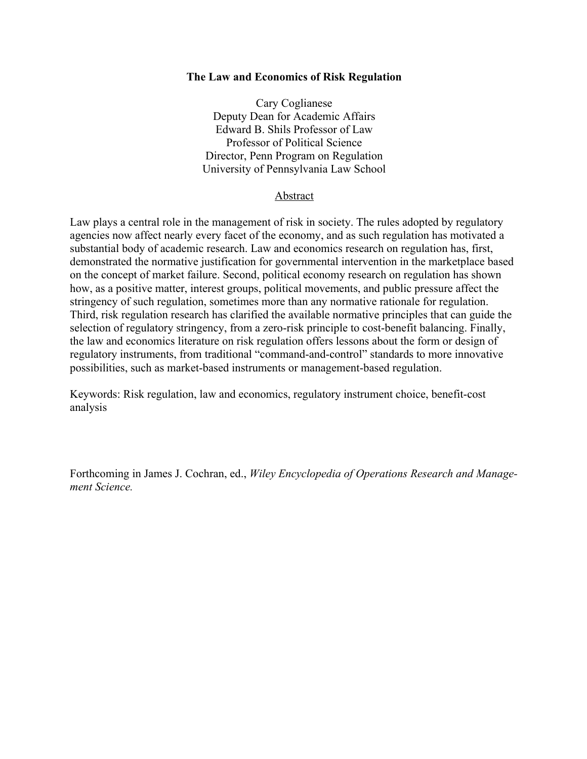#### **The Law and Economics of Risk Regulation**

Cary Coglianese Deputy Dean for Academic Affairs Edward B. Shils Professor of Law Professor of Political Science Director, Penn Program on Regulation University of Pennsylvania Law School

#### Abstract

Law plays a central role in the management of risk in society. The rules adopted by regulatory agencies now affect nearly every facet of the economy, and as such regulation has motivated a substantial body of academic research. Law and economics research on regulation has, first, demonstrated the normative justification for governmental intervention in the marketplace based on the concept of market failure. Second, political economy research on regulation has shown how, as a positive matter, interest groups, political movements, and public pressure affect the stringency of such regulation, sometimes more than any normative rationale for regulation. Third, risk regulation research has clarified the available normative principles that can guide the selection of regulatory stringency, from a zero-risk principle to cost-benefit balancing. Finally, the law and economics literature on risk regulation offers lessons about the form or design of regulatory instruments, from traditional "command-and-control" standards to more innovative possibilities, such as market-based instruments or management-based regulation.

Keywords: Risk regulation, law and economics, regulatory instrument choice, benefit-cost analysis

Forthcoming in James J. Cochran, ed., *Wiley Encyclopedia of Operations Research and Management Science.*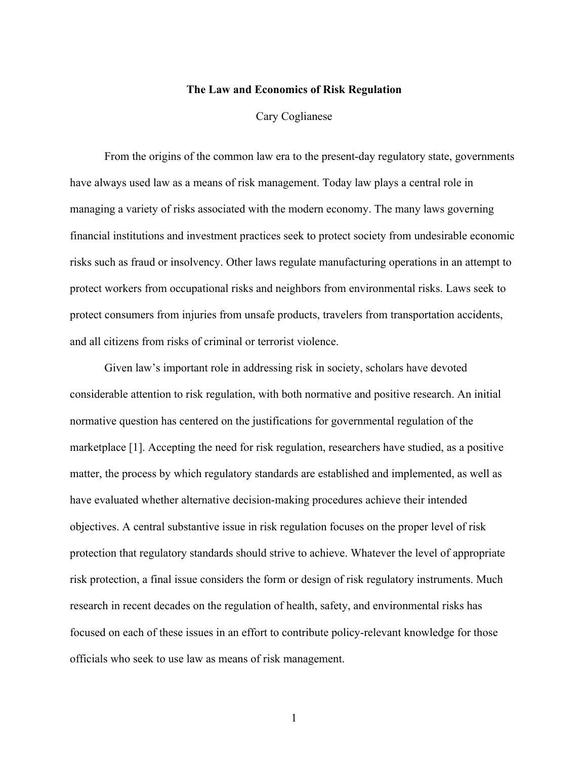#### **The Law and Economics of Risk Regulation**

#### Cary Coglianese

From the origins of the common law era to the present-day regulatory state, governments have always used law as a means of risk management. Today law plays a central role in managing a variety of risks associated with the modern economy. The many laws governing financial institutions and investment practices seek to protect society from undesirable economic risks such as fraud or insolvency. Other laws regulate manufacturing operations in an attempt to protect workers from occupational risks and neighbors from environmental risks. Laws seek to protect consumers from injuries from unsafe products, travelers from transportation accidents, and all citizens from risks of criminal or terrorist violence.

Given law's important role in addressing risk in society, scholars have devoted considerable attention to risk regulation, with both normative and positive research. An initial normative question has centered on the justifications for governmental regulation of the marketplace [1]. Accepting the need for risk regulation, researchers have studied, as a positive matter, the process by which regulatory standards are established and implemented, as well as have evaluated whether alternative decision-making procedures achieve their intended objectives. A central substantive issue in risk regulation focuses on the proper level of risk protection that regulatory standards should strive to achieve. Whatever the level of appropriate risk protection, a final issue considers the form or design of risk regulatory instruments. Much research in recent decades on the regulation of health, safety, and environmental risks has focused on each of these issues in an effort to contribute policy-relevant knowledge for those officials who seek to use law as means of risk management.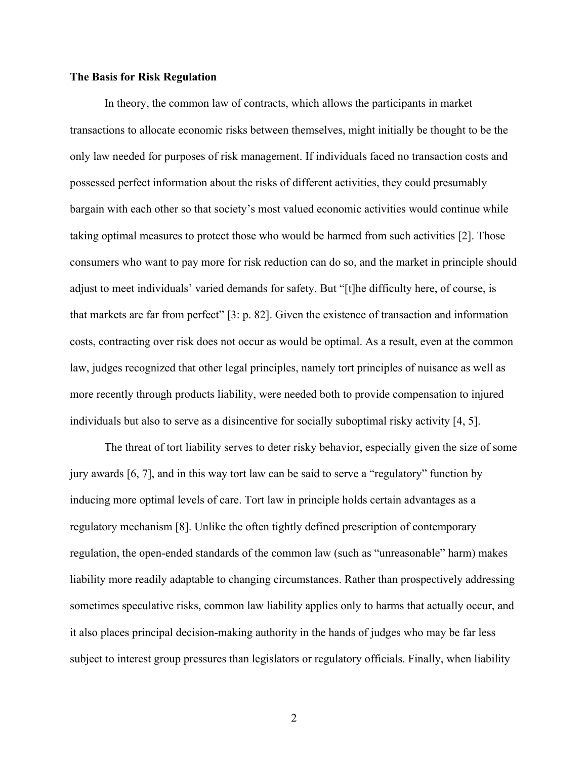#### **The Basis for Risk Regulation**

In theory, the common law of contracts, which allows the participants in market transactions to allocate economic risks between themselves, might initially be thought to be the only law needed for purposes of risk management. If individuals faced no transaction costs and possessed perfect information about the risks of different activities, they could presumably bargain with each other so that society's most valued economic activities would continue while taking optimal measures to protect those who would be harmed from such activities [2]. Those consumers who want to pay more for risk reduction can do so, and the market in principle should adjust to meet individuals' varied demands for safety. But "[t]he difficulty here, of course, is that markets are far from perfect" [3: p. 82]. Given the existence of transaction and information costs, contracting over risk does not occur as would be optimal. As a result, even at the common law, judges recognized that other legal principles, namely tort principles of nuisance as well as more recently through products liability, were needed both to provide compensation to injured individuals but also to serve as a disincentive for socially suboptimal risky activity [4, 5].

The threat of tort liability serves to deter risky behavior, especially given the size of some jury awards [6, 7], and in this way tort law can be said to serve a "regulatory" function by inducing more optimal levels of care. Tort law in principle holds certain advantages as a regulatory mechanism [8]. Unlike the often tightly defined prescription of contemporary regulation, the open-ended standards of the common law (such as "unreasonable" harm) makes liability more readily adaptable to changing circumstances. Rather than prospectively addressing sometimes speculative risks, common law liability applies only to harms that actually occur, and it also places principal decision-making authority in the hands of judges who may be far less subject to interest group pressures than legislators or regulatory officials. Finally, when liability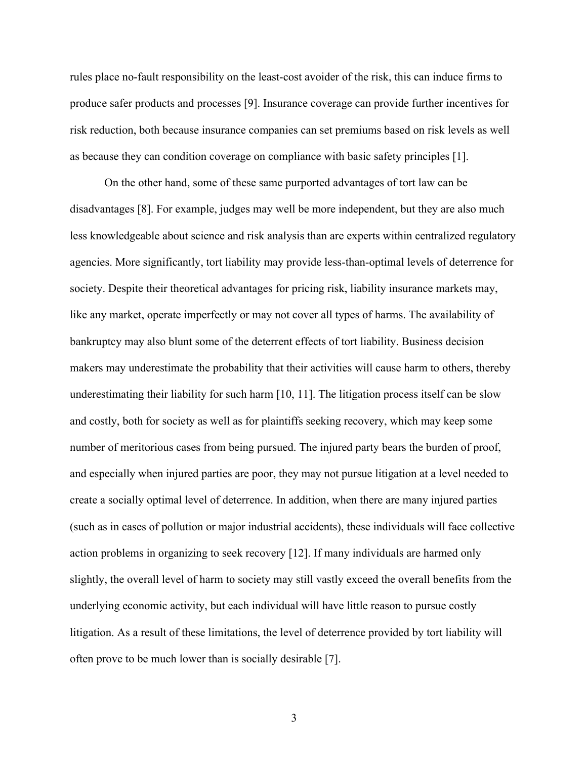rules place no-fault responsibility on the least-cost avoider of the risk, this can induce firms to produce safer products and processes [9]. Insurance coverage can provide further incentives for risk reduction, both because insurance companies can set premiums based on risk levels as well as because they can condition coverage on compliance with basic safety principles [1].

On the other hand, some of these same purported advantages of tort law can be disadvantages [8]. For example, judges may well be more independent, but they are also much less knowledgeable about science and risk analysis than are experts within centralized regulatory agencies. More significantly, tort liability may provide less-than-optimal levels of deterrence for society. Despite their theoretical advantages for pricing risk, liability insurance markets may, like any market, operate imperfectly or may not cover all types of harms. The availability of bankruptcy may also blunt some of the deterrent effects of tort liability. Business decision makers may underestimate the probability that their activities will cause harm to others, thereby underestimating their liability for such harm [10, 11]. The litigation process itself can be slow and costly, both for society as well as for plaintiffs seeking recovery, which may keep some number of meritorious cases from being pursued. The injured party bears the burden of proof, and especially when injured parties are poor, they may not pursue litigation at a level needed to create a socially optimal level of deterrence. In addition, when there are many injured parties (such as in cases of pollution or major industrial accidents), these individuals will face collective action problems in organizing to seek recovery [12]. If many individuals are harmed only slightly, the overall level of harm to society may still vastly exceed the overall benefits from the underlying economic activity, but each individual will have little reason to pursue costly litigation. As a result of these limitations, the level of deterrence provided by tort liability will often prove to be much lower than is socially desirable [7].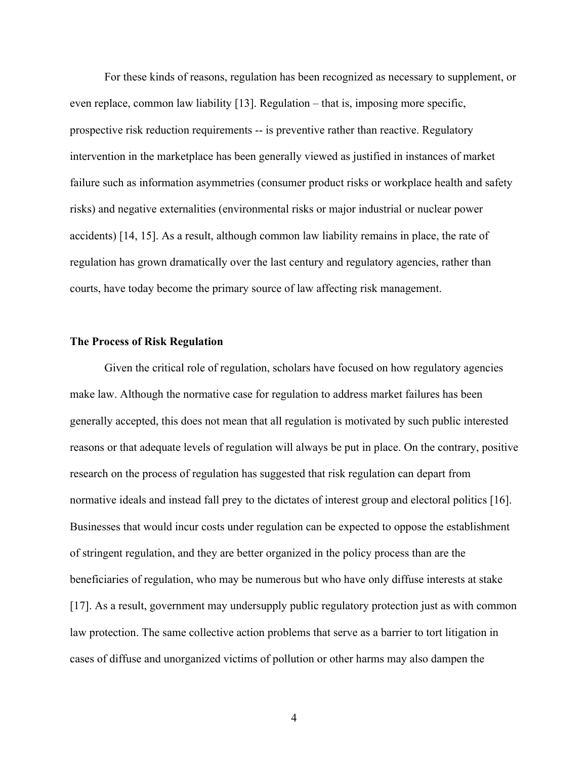For these kinds of reasons, regulation has been recognized as necessary to supplement, or even replace, common law liability [13]. Regulation – that is, imposing more specific, prospective risk reduction requirements -- is preventive rather than reactive. Regulatory intervention in the marketplace has been generally viewed as justified in instances of market failure such as information asymmetries (consumer product risks or workplace health and safety risks) and negative externalities (environmental risks or major industrial or nuclear power accidents) [14, 15]. As a result, although common law liability remains in place, the rate of regulation has grown dramatically over the last century and regulatory agencies, rather than courts, have today become the primary source of law affecting risk management.

#### **The Process of Risk Regulation**

Given the critical role of regulation, scholars have focused on how regulatory agencies make law. Although the normative case for regulation to address market failures has been generally accepted, this does not mean that all regulation is motivated by such public interested reasons or that adequate levels of regulation will always be put in place. On the contrary, positive research on the process of regulation has suggested that risk regulation can depart from normative ideals and instead fall prey to the dictates of interest group and electoral politics [16]. Businesses that would incur costs under regulation can be expected to oppose the establishment of stringent regulation, and they are better organized in the policy process than are the beneficiaries of regulation, who may be numerous but who have only diffuse interests at stake [17]. As a result, government may undersupply public regulatory protection just as with common law protection. The same collective action problems that serve as a barrier to tort litigation in cases of diffuse and unorganized victims of pollution or other harms may also dampen the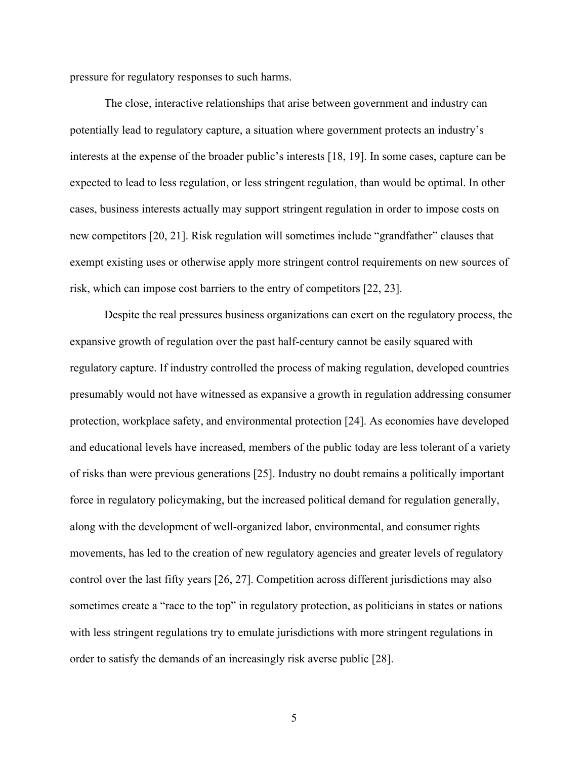pressure for regulatory responses to such harms.

The close, interactive relationships that arise between government and industry can potentially lead to regulatory capture, a situation where government protects an industry's interests at the expense of the broader public's interests [18, 19]. In some cases, capture can be expected to lead to less regulation, or less stringent regulation, than would be optimal. In other cases, business interests actually may support stringent regulation in order to impose costs on new competitors [20, 21]. Risk regulation will sometimes include "grandfather" clauses that exempt existing uses or otherwise apply more stringent control requirements on new sources of risk, which can impose cost barriers to the entry of competitors [22, 23].

Despite the real pressures business organizations can exert on the regulatory process, the expansive growth of regulation over the past half-century cannot be easily squared with regulatory capture. If industry controlled the process of making regulation, developed countries presumably would not have witnessed as expansive a growth in regulation addressing consumer protection, workplace safety, and environmental protection [24]. As economies have developed and educational levels have increased, members of the public today are less tolerant of a variety of risks than were previous generations [25]. Industry no doubt remains a politically important force in regulatory policymaking, but the increased political demand for regulation generally, along with the development of well-organized labor, environmental, and consumer rights movements, has led to the creation of new regulatory agencies and greater levels of regulatory control over the last fifty years [26, 27]. Competition across different jurisdictions may also sometimes create a "race to the top" in regulatory protection, as politicians in states or nations with less stringent regulations try to emulate jurisdictions with more stringent regulations in order to satisfy the demands of an increasingly risk averse public [28].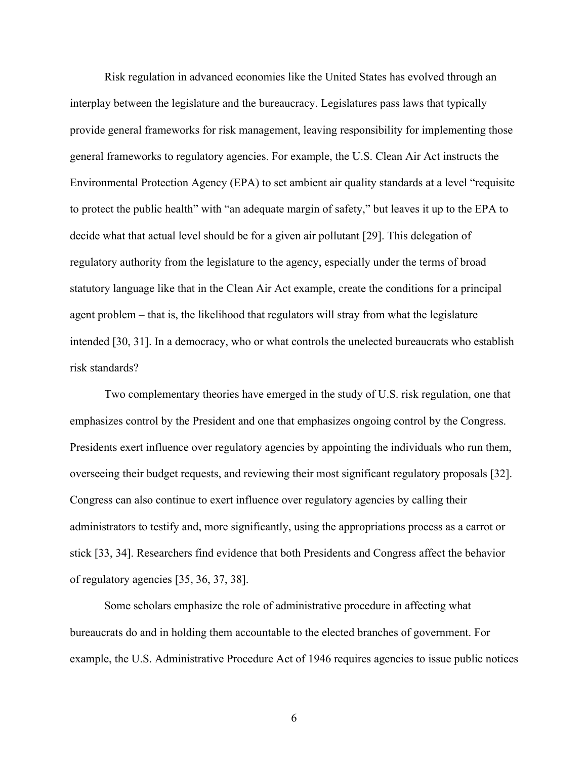Risk regulation in advanced economies like the United States has evolved through an interplay between the legislature and the bureaucracy. Legislatures pass laws that typically provide general frameworks for risk management, leaving responsibility for implementing those general frameworks to regulatory agencies. For example, the U.S. Clean Air Act instructs the Environmental Protection Agency (EPA) to set ambient air quality standards at a level "requisite to protect the public health" with "an adequate margin of safety," but leaves it up to the EPA to decide what that actual level should be for a given air pollutant [29]. This delegation of regulatory authority from the legislature to the agency, especially under the terms of broad statutory language like that in the Clean Air Act example, create the conditions for a principal agent problem – that is, the likelihood that regulators will stray from what the legislature intended [30, 31]. In a democracy, who or what controls the unelected bureaucrats who establish risk standards?

Two complementary theories have emerged in the study of U.S. risk regulation, one that emphasizes control by the President and one that emphasizes ongoing control by the Congress. Presidents exert influence over regulatory agencies by appointing the individuals who run them, overseeing their budget requests, and reviewing their most significant regulatory proposals [32]. Congress can also continue to exert influence over regulatory agencies by calling their administrators to testify and, more significantly, using the appropriations process as a carrot or stick [33, 34]. Researchers find evidence that both Presidents and Congress affect the behavior of regulatory agencies [35, 36, 37, 38].

Some scholars emphasize the role of administrative procedure in affecting what bureaucrats do and in holding them accountable to the elected branches of government. For example, the U.S. Administrative Procedure Act of 1946 requires agencies to issue public notices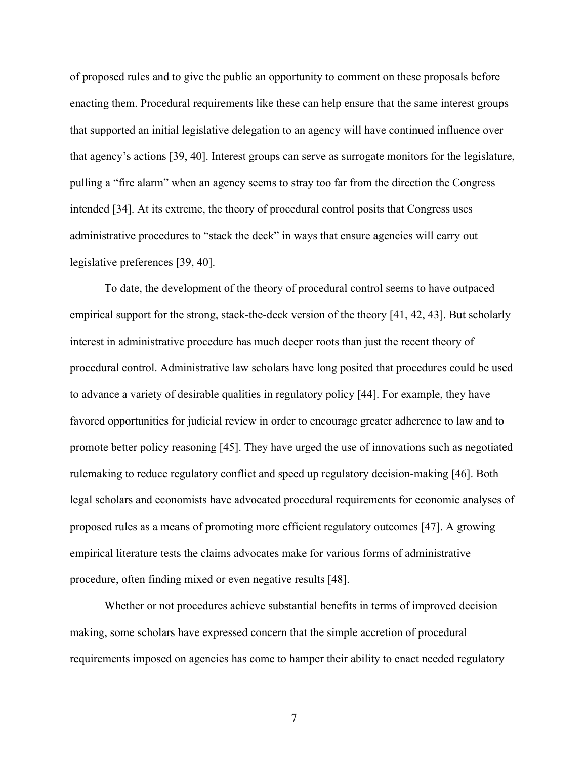of proposed rules and to give the public an opportunity to comment on these proposals before enacting them. Procedural requirements like these can help ensure that the same interest groups that supported an initial legislative delegation to an agency will have continued influence over that agency's actions [39, 40]. Interest groups can serve as surrogate monitors for the legislature, pulling a "fire alarm" when an agency seems to stray too far from the direction the Congress intended [34]. At its extreme, the theory of procedural control posits that Congress uses administrative procedures to "stack the deck" in ways that ensure agencies will carry out legislative preferences [39, 40].

To date, the development of the theory of procedural control seems to have outpaced empirical support for the strong, stack-the-deck version of the theory [41, 42, 43]. But scholarly interest in administrative procedure has much deeper roots than just the recent theory of procedural control. Administrative law scholars have long posited that procedures could be used to advance a variety of desirable qualities in regulatory policy [44]. For example, they have favored opportunities for judicial review in order to encourage greater adherence to law and to promote better policy reasoning [45]. They have urged the use of innovations such as negotiated rulemaking to reduce regulatory conflict and speed up regulatory decision-making [46]. Both legal scholars and economists have advocated procedural requirements for economic analyses of proposed rules as a means of promoting more efficient regulatory outcomes [47]. A growing empirical literature tests the claims advocates make for various forms of administrative procedure, often finding mixed or even negative results [48].

Whether or not procedures achieve substantial benefits in terms of improved decision making, some scholars have expressed concern that the simple accretion of procedural requirements imposed on agencies has come to hamper their ability to enact needed regulatory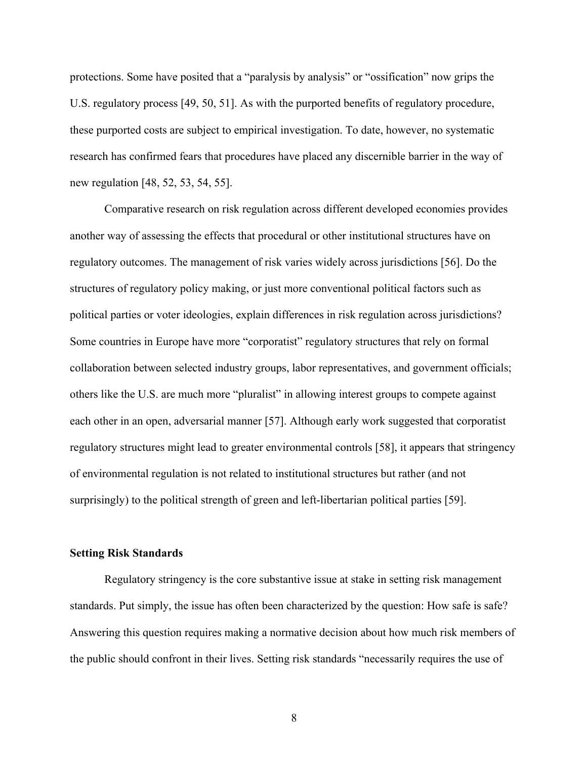protections. Some have posited that a "paralysis by analysis" or "ossification" now grips the U.S. regulatory process [49, 50, 51]. As with the purported benefits of regulatory procedure, these purported costs are subject to empirical investigation. To date, however, no systematic research has confirmed fears that procedures have placed any discernible barrier in the way of new regulation [48, 52, 53, 54, 55].

Comparative research on risk regulation across different developed economies provides another way of assessing the effects that procedural or other institutional structures have on regulatory outcomes. The management of risk varies widely across jurisdictions [56]. Do the structures of regulatory policy making, or just more conventional political factors such as political parties or voter ideologies, explain differences in risk regulation across jurisdictions? Some countries in Europe have more "corporatist" regulatory structures that rely on formal collaboration between selected industry groups, labor representatives, and government officials; others like the U.S. are much more "pluralist" in allowing interest groups to compete against each other in an open, adversarial manner [57]. Although early work suggested that corporatist regulatory structures might lead to greater environmental controls [58], it appears that stringency of environmental regulation is not related to institutional structures but rather (and not surprisingly) to the political strength of green and left-libertarian political parties [59].

## **Setting Risk Standards**

Regulatory stringency is the core substantive issue at stake in setting risk management standards. Put simply, the issue has often been characterized by the question: How safe is safe? Answering this question requires making a normative decision about how much risk members of the public should confront in their lives. Setting risk standards "necessarily requires the use of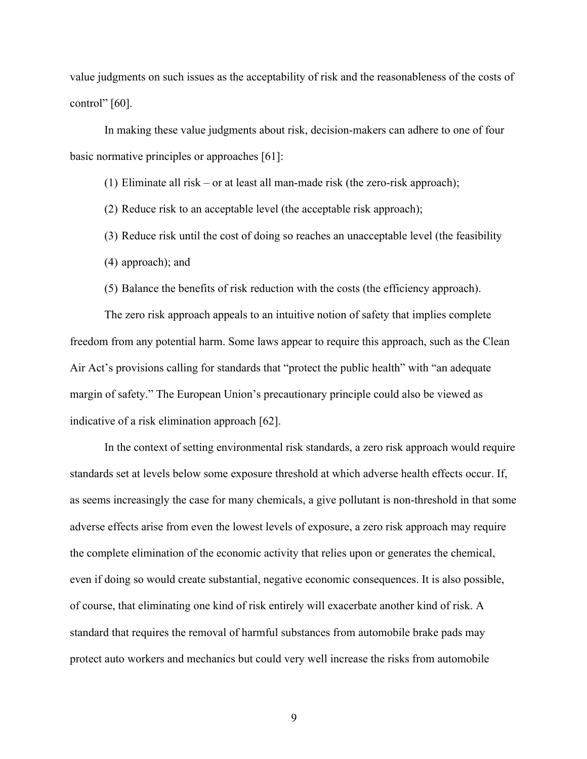value judgments on such issues as the acceptability of risk and the reasonableness of the costs of control" [60].

In making these value judgments about risk, decision-makers can adhere to one of four basic normative principles or approaches [61]:

(1) Eliminate all risk – or at least all man-made risk (the zero-risk approach);

- (2) Reduce risk to an acceptable level (the acceptable risk approach);
- (3) Reduce risk until the cost of doing so reaches an unacceptable level (the feasibility
- (4) approach); and
- (5) Balance the benefits of risk reduction with the costs (the efficiency approach).

The zero risk approach appeals to an intuitive notion of safety that implies complete freedom from any potential harm. Some laws appear to require this approach, such as the Clean Air Act's provisions calling for standards that "protect the public health" with "an adequate margin of safety." The European Union's precautionary principle could also be viewed as indicative of a risk elimination approach [62].

In the context of setting environmental risk standards, a zero risk approach would require standards set at levels below some exposure threshold at which adverse health effects occur. If, as seems increasingly the case for many chemicals, a give pollutant is non-threshold in that some adverse effects arise from even the lowest levels of exposure, a zero risk approach may require the complete elimination of the economic activity that relies upon or generates the chemical, even if doing so would create substantial, negative economic consequences. It is also possible, of course, that eliminating one kind of risk entirely will exacerbate another kind of risk. A standard that requires the removal of harmful substances from automobile brake pads may protect auto workers and mechanics but could very well increase the risks from automobile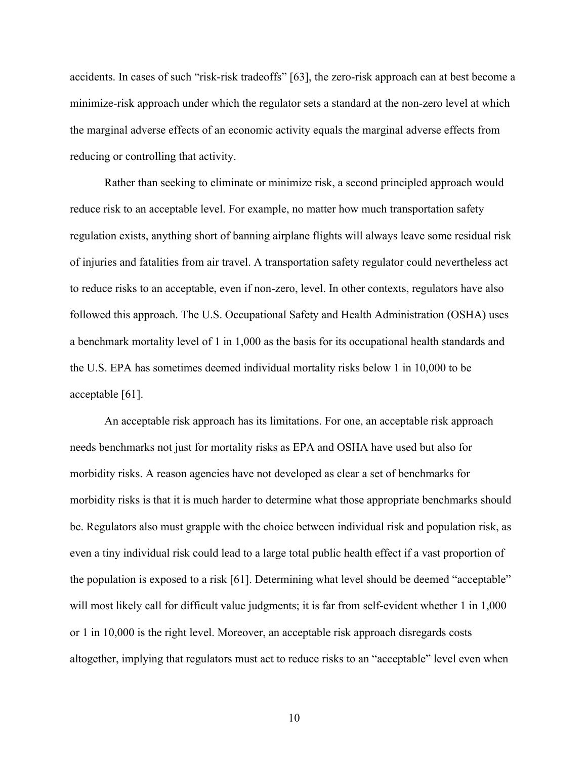accidents. In cases of such "risk-risk tradeoffs" [63], the zero-risk approach can at best become a minimize-risk approach under which the regulator sets a standard at the non-zero level at which the marginal adverse effects of an economic activity equals the marginal adverse effects from reducing or controlling that activity.

Rather than seeking to eliminate or minimize risk, a second principled approach would reduce risk to an acceptable level. For example, no matter how much transportation safety regulation exists, anything short of banning airplane flights will always leave some residual risk of injuries and fatalities from air travel. A transportation safety regulator could nevertheless act to reduce risks to an acceptable, even if non-zero, level. In other contexts, regulators have also followed this approach. The U.S. Occupational Safety and Health Administration (OSHA) uses a benchmark mortality level of 1 in 1,000 as the basis for its occupational health standards and the U.S. EPA has sometimes deemed individual mortality risks below 1 in 10,000 to be acceptable [61].

An acceptable risk approach has its limitations. For one, an acceptable risk approach needs benchmarks not just for mortality risks as EPA and OSHA have used but also for morbidity risks. A reason agencies have not developed as clear a set of benchmarks for morbidity risks is that it is much harder to determine what those appropriate benchmarks should be. Regulators also must grapple with the choice between individual risk and population risk, as even a tiny individual risk could lead to a large total public health effect if a vast proportion of the population is exposed to a risk [61]. Determining what level should be deemed "acceptable" will most likely call for difficult value judgments; it is far from self-evident whether 1 in 1,000 or 1 in 10,000 is the right level. Moreover, an acceptable risk approach disregards costs altogether, implying that regulators must act to reduce risks to an "acceptable" level even when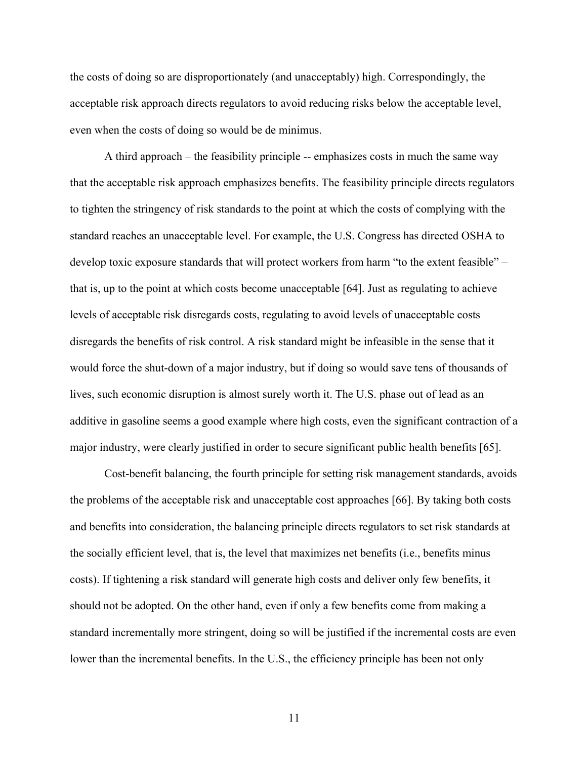the costs of doing so are disproportionately (and unacceptably) high. Correspondingly, the acceptable risk approach directs regulators to avoid reducing risks below the acceptable level, even when the costs of doing so would be de minimus.

A third approach – the feasibility principle -- emphasizes costs in much the same way that the acceptable risk approach emphasizes benefits. The feasibility principle directs regulators to tighten the stringency of risk standards to the point at which the costs of complying with the standard reaches an unacceptable level. For example, the U.S. Congress has directed OSHA to develop toxic exposure standards that will protect workers from harm "to the extent feasible" – that is, up to the point at which costs become unacceptable [64]. Just as regulating to achieve levels of acceptable risk disregards costs, regulating to avoid levels of unacceptable costs disregards the benefits of risk control. A risk standard might be infeasible in the sense that it would force the shut-down of a major industry, but if doing so would save tens of thousands of lives, such economic disruption is almost surely worth it. The U.S. phase out of lead as an additive in gasoline seems a good example where high costs, even the significant contraction of a major industry, were clearly justified in order to secure significant public health benefits [65].

Cost-benefit balancing, the fourth principle for setting risk management standards, avoids the problems of the acceptable risk and unacceptable cost approaches [66]. By taking both costs and benefits into consideration, the balancing principle directs regulators to set risk standards at the socially efficient level, that is, the level that maximizes net benefits (i.e., benefits minus costs). If tightening a risk standard will generate high costs and deliver only few benefits, it should not be adopted. On the other hand, even if only a few benefits come from making a standard incrementally more stringent, doing so will be justified if the incremental costs are even lower than the incremental benefits. In the U.S., the efficiency principle has been not only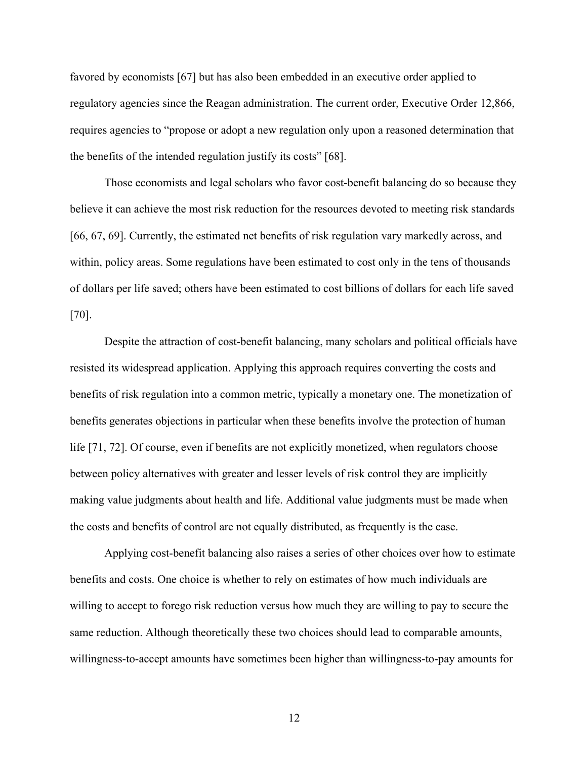favored by economists [67] but has also been embedded in an executive order applied to regulatory agencies since the Reagan administration. The current order, Executive Order 12,866, requires agencies to "propose or adopt a new regulation only upon a reasoned determination that the benefits of the intended regulation justify its costs" [68].

Those economists and legal scholars who favor cost-benefit balancing do so because they believe it can achieve the most risk reduction for the resources devoted to meeting risk standards [66, 67, 69]. Currently, the estimated net benefits of risk regulation vary markedly across, and within, policy areas. Some regulations have been estimated to cost only in the tens of thousands of dollars per life saved; others have been estimated to cost billions of dollars for each life saved [70].

Despite the attraction of cost-benefit balancing, many scholars and political officials have resisted its widespread application. Applying this approach requires converting the costs and benefits of risk regulation into a common metric, typically a monetary one. The monetization of benefits generates objections in particular when these benefits involve the protection of human life [71, 72]. Of course, even if benefits are not explicitly monetized, when regulators choose between policy alternatives with greater and lesser levels of risk control they are implicitly making value judgments about health and life. Additional value judgments must be made when the costs and benefits of control are not equally distributed, as frequently is the case.

Applying cost-benefit balancing also raises a series of other choices over how to estimate benefits and costs. One choice is whether to rely on estimates of how much individuals are willing to accept to forego risk reduction versus how much they are willing to pay to secure the same reduction. Although theoretically these two choices should lead to comparable amounts, willingness-to-accept amounts have sometimes been higher than willingness-to-pay amounts for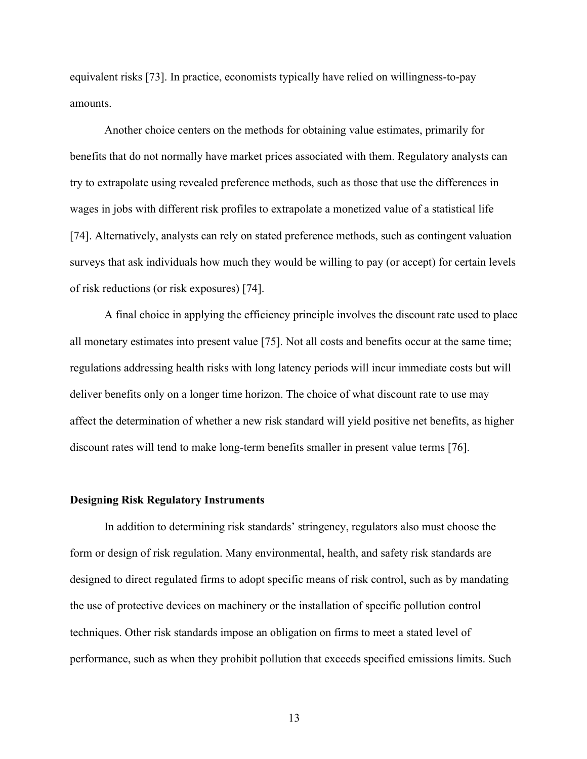equivalent risks [73]. In practice, economists typically have relied on willingness-to-pay amounts.

Another choice centers on the methods for obtaining value estimates, primarily for benefits that do not normally have market prices associated with them. Regulatory analysts can try to extrapolate using revealed preference methods, such as those that use the differences in wages in jobs with different risk profiles to extrapolate a monetized value of a statistical life [74]. Alternatively, analysts can rely on stated preference methods, such as contingent valuation surveys that ask individuals how much they would be willing to pay (or accept) for certain levels of risk reductions (or risk exposures) [74].

A final choice in applying the efficiency principle involves the discount rate used to place all monetary estimates into present value [75]. Not all costs and benefits occur at the same time; regulations addressing health risks with long latency periods will incur immediate costs but will deliver benefits only on a longer time horizon. The choice of what discount rate to use may affect the determination of whether a new risk standard will yield positive net benefits, as higher discount rates will tend to make long-term benefits smaller in present value terms [76].

#### **Designing Risk Regulatory Instruments**

In addition to determining risk standards' stringency, regulators also must choose the form or design of risk regulation. Many environmental, health, and safety risk standards are designed to direct regulated firms to adopt specific means of risk control, such as by mandating the use of protective devices on machinery or the installation of specific pollution control techniques. Other risk standards impose an obligation on firms to meet a stated level of performance, such as when they prohibit pollution that exceeds specified emissions limits. Such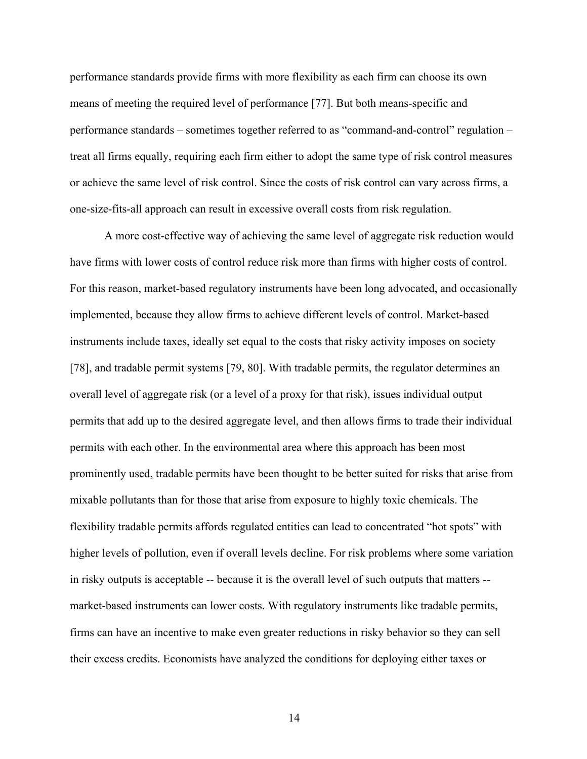performance standards provide firms with more flexibility as each firm can choose its own means of meeting the required level of performance [77]. But both means-specific and performance standards – sometimes together referred to as "command-and-control" regulation – treat all firms equally, requiring each firm either to adopt the same type of risk control measures or achieve the same level of risk control. Since the costs of risk control can vary across firms, a one-size-fits-all approach can result in excessive overall costs from risk regulation.

A more cost-effective way of achieving the same level of aggregate risk reduction would have firms with lower costs of control reduce risk more than firms with higher costs of control. For this reason, market-based regulatory instruments have been long advocated, and occasionally implemented, because they allow firms to achieve different levels of control. Market-based instruments include taxes, ideally set equal to the costs that risky activity imposes on society [78], and tradable permit systems [79, 80]. With tradable permits, the regulator determines an overall level of aggregate risk (or a level of a proxy for that risk), issues individual output permits that add up to the desired aggregate level, and then allows firms to trade their individual permits with each other. In the environmental area where this approach has been most prominently used, tradable permits have been thought to be better suited for risks that arise from mixable pollutants than for those that arise from exposure to highly toxic chemicals. The flexibility tradable permits affords regulated entities can lead to concentrated "hot spots" with higher levels of pollution, even if overall levels decline. For risk problems where some variation in risky outputs is acceptable -- because it is the overall level of such outputs that matters - market-based instruments can lower costs. With regulatory instruments like tradable permits, firms can have an incentive to make even greater reductions in risky behavior so they can sell their excess credits. Economists have analyzed the conditions for deploying either taxes or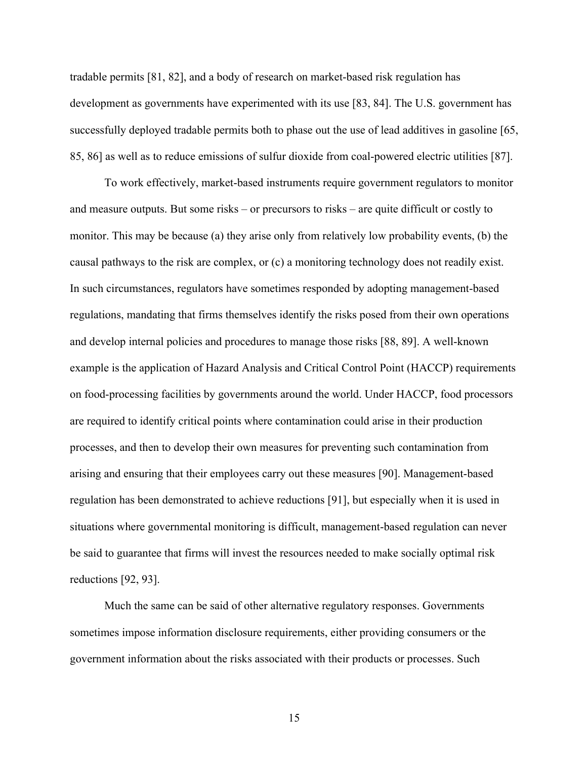tradable permits [81, 82], and a body of research on market-based risk regulation has development as governments have experimented with its use [83, 84]. The U.S. government has successfully deployed tradable permits both to phase out the use of lead additives in gasoline [65, 85, 86] as well as to reduce emissions of sulfur dioxide from coal-powered electric utilities [87].

To work effectively, market-based instruments require government regulators to monitor and measure outputs. But some risks – or precursors to risks – are quite difficult or costly to monitor. This may be because (a) they arise only from relatively low probability events, (b) the causal pathways to the risk are complex, or (c) a monitoring technology does not readily exist. In such circumstances, regulators have sometimes responded by adopting management-based regulations, mandating that firms themselves identify the risks posed from their own operations and develop internal policies and procedures to manage those risks [88, 89]. A well-known example is the application of Hazard Analysis and Critical Control Point (HACCP) requirements on food-processing facilities by governments around the world. Under HACCP, food processors are required to identify critical points where contamination could arise in their production processes, and then to develop their own measures for preventing such contamination from arising and ensuring that their employees carry out these measures [90]. Management-based regulation has been demonstrated to achieve reductions [91], but especially when it is used in situations where governmental monitoring is difficult, management-based regulation can never be said to guarantee that firms will invest the resources needed to make socially optimal risk reductions [92, 93].

Much the same can be said of other alternative regulatory responses. Governments sometimes impose information disclosure requirements, either providing consumers or the government information about the risks associated with their products or processes. Such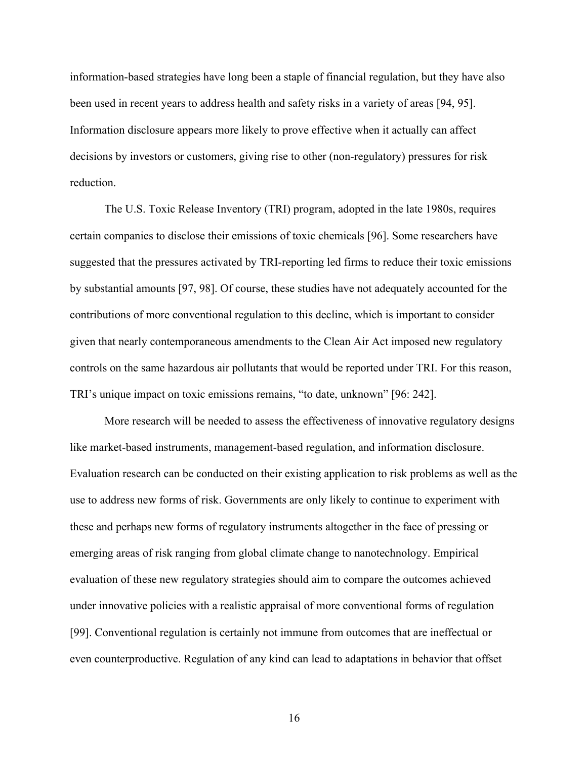information-based strategies have long been a staple of financial regulation, but they have also been used in recent years to address health and safety risks in a variety of areas [94, 95]. Information disclosure appears more likely to prove effective when it actually can affect decisions by investors or customers, giving rise to other (non-regulatory) pressures for risk reduction.

The U.S. Toxic Release Inventory (TRI) program, adopted in the late 1980s, requires certain companies to disclose their emissions of toxic chemicals [96]. Some researchers have suggested that the pressures activated by TRI-reporting led firms to reduce their toxic emissions by substantial amounts [97, 98]. Of course, these studies have not adequately accounted for the contributions of more conventional regulation to this decline, which is important to consider given that nearly contemporaneous amendments to the Clean Air Act imposed new regulatory controls on the same hazardous air pollutants that would be reported under TRI. For this reason, TRI's unique impact on toxic emissions remains, "to date, unknown" [96: 242].

More research will be needed to assess the effectiveness of innovative regulatory designs like market-based instruments, management-based regulation, and information disclosure. Evaluation research can be conducted on their existing application to risk problems as well as the use to address new forms of risk. Governments are only likely to continue to experiment with these and perhaps new forms of regulatory instruments altogether in the face of pressing or emerging areas of risk ranging from global climate change to nanotechnology. Empirical evaluation of these new regulatory strategies should aim to compare the outcomes achieved under innovative policies with a realistic appraisal of more conventional forms of regulation [99]. Conventional regulation is certainly not immune from outcomes that are ineffectual or even counterproductive. Regulation of any kind can lead to adaptations in behavior that offset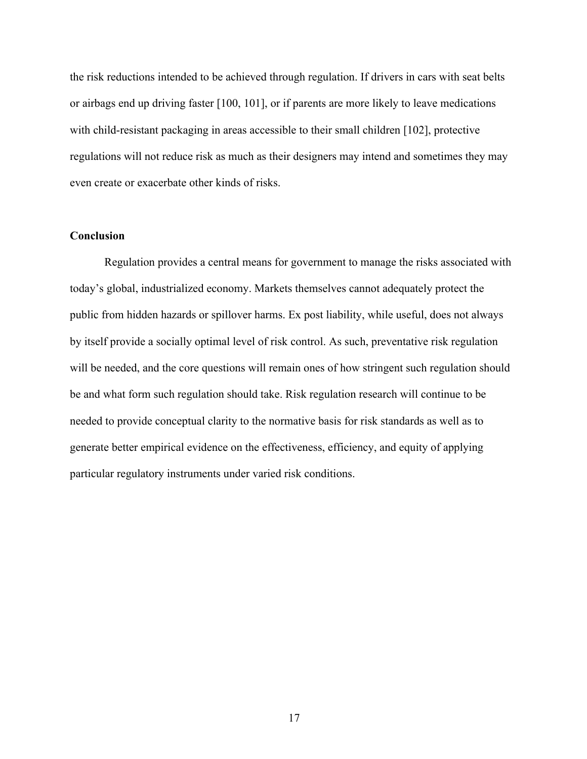the risk reductions intended to be achieved through regulation. If drivers in cars with seat belts or airbags end up driving faster [100, 101], or if parents are more likely to leave medications with child-resistant packaging in areas accessible to their small children [102], protective regulations will not reduce risk as much as their designers may intend and sometimes they may even create or exacerbate other kinds of risks.

#### **Conclusion**

Regulation provides a central means for government to manage the risks associated with today's global, industrialized economy. Markets themselves cannot adequately protect the public from hidden hazards or spillover harms. Ex post liability, while useful, does not always by itself provide a socially optimal level of risk control. As such, preventative risk regulation will be needed, and the core questions will remain ones of how stringent such regulation should be and what form such regulation should take. Risk regulation research will continue to be needed to provide conceptual clarity to the normative basis for risk standards as well as to generate better empirical evidence on the effectiveness, efficiency, and equity of applying particular regulatory instruments under varied risk conditions.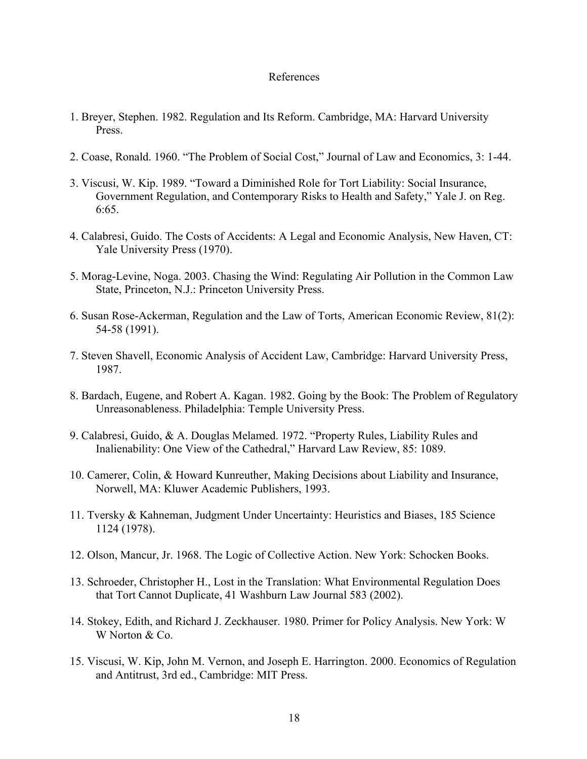#### References

- 1. Breyer, Stephen. 1982. Regulation and Its Reform. Cambridge, MA: Harvard University Press.
- 2. Coase, Ronald. 1960. "The Problem of Social Cost," Journal of Law and Economics, 3: 1-44.
- 3. Viscusi, W. Kip. 1989. "Toward a Diminished Role for Tort Liability: Social Insurance, Government Regulation, and Contemporary Risks to Health and Safety," Yale J. on Reg. 6:65.
- 4. Calabresi, Guido. The Costs of Accidents: A Legal and Economic Analysis, New Haven, CT: Yale University Press (1970).
- 5. Morag-Levine, Noga. 2003. Chasing the Wind: Regulating Air Pollution in the Common Law State, Princeton, N.J.: Princeton University Press.
- 6. Susan Rose-Ackerman, Regulation and the Law of Torts, American Economic Review, 81(2): 54-58 (1991).
- 7. Steven Shavell, Economic Analysis of Accident Law, Cambridge: Harvard University Press, 1987.
- 8. Bardach, Eugene, and Robert A. Kagan. 1982. Going by the Book: The Problem of Regulatory Unreasonableness. Philadelphia: Temple University Press.
- 9. Calabresi, Guido, & A. Douglas Melamed. 1972. "Property Rules, Liability Rules and Inalienability: One View of the Cathedral," Harvard Law Review, 85: 1089.
- 10. Camerer, Colin, & Howard Kunreuther, Making Decisions about Liability and Insurance, Norwell, MA: Kluwer Academic Publishers, 1993.
- 11. Tversky & Kahneman, Judgment Under Uncertainty: Heuristics and Biases, 185 Science 1124 (1978).
- 12. Olson, Mancur, Jr. 1968. The Logic of Collective Action. New York: Schocken Books.
- 13. Schroeder, Christopher H., Lost in the Translation: What Environmental Regulation Does that Tort Cannot Duplicate, 41 Washburn Law Journal 583 (2002).
- 14. Stokey, Edith, and Richard J. Zeckhauser. 1980. Primer for Policy Analysis. New York: W W Norton & Co.
- 15. Viscusi, W. Kip, John M. Vernon, and Joseph E. Harrington. 2000. Economics of Regulation and Antitrust, 3rd ed., Cambridge: MIT Press.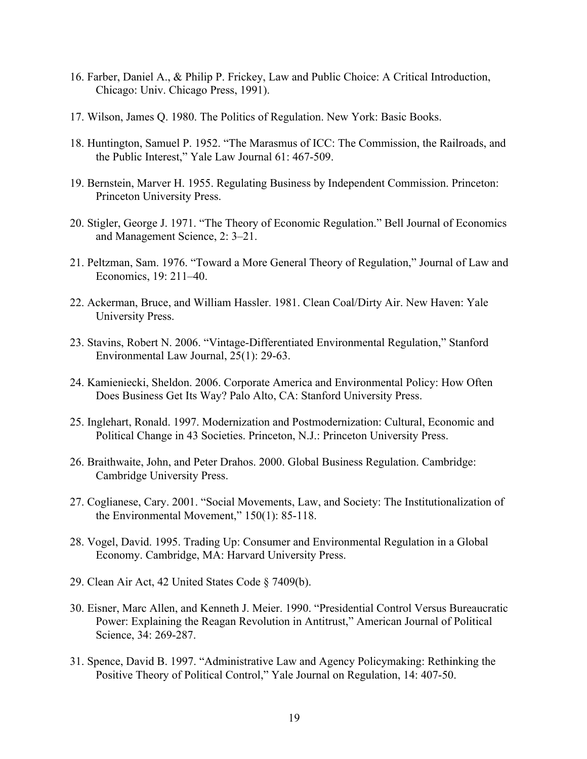- 16. Farber, Daniel A., & Philip P. Frickey, Law and Public Choice: A Critical Introduction, Chicago: Univ. Chicago Press, 1991).
- 17. Wilson, James Q. 1980. The Politics of Regulation. New York: Basic Books.
- 18. Huntington, Samuel P. 1952. "The Marasmus of ICC: The Commission, the Railroads, and the Public Interest," Yale Law Journal 61: 467-509.
- 19. Bernstein, Marver H. 1955. Regulating Business by Independent Commission. Princeton: Princeton University Press.
- 20. Stigler, George J. 1971. "The Theory of Economic Regulation." Bell Journal of Economics and Management Science, 2: 3–21.
- 21. Peltzman, Sam. 1976. "Toward a More General Theory of Regulation," Journal of Law and Economics, 19: 211–40.
- 22. Ackerman, Bruce, and William Hassler. 1981. Clean Coal/Dirty Air. New Haven: Yale University Press.
- 23. Stavins, Robert N. 2006. "Vintage-Differentiated Environmental Regulation," Stanford Environmental Law Journal, 25(1): 29-63.
- 24. Kamieniecki, Sheldon. 2006. Corporate America and Environmental Policy: How Often Does Business Get Its Way? Palo Alto, CA: Stanford University Press.
- 25. Inglehart, Ronald. 1997. Modernization and Postmodernization: Cultural, Economic and Political Change in 43 Societies. Princeton, N.J.: Princeton University Press.
- 26. Braithwaite, John, and Peter Drahos. 2000. Global Business Regulation. Cambridge: Cambridge University Press.
- 27. Coglianese, Cary. 2001. "Social Movements, Law, and Society: The Institutionalization of the Environmental Movement," 150(1): 85-118.
- 28. Vogel, David. 1995. Trading Up: Consumer and Environmental Regulation in a Global Economy. Cambridge, MA: Harvard University Press.
- 29. Clean Air Act, 42 United States Code § 7409(b).
- 30. Eisner, Marc Allen, and Kenneth J. Meier. 1990. "Presidential Control Versus Bureaucratic Power: Explaining the Reagan Revolution in Antitrust," American Journal of Political Science, 34: 269-287.
- 31. Spence, David B. 1997. "Administrative Law and Agency Policymaking: Rethinking the Positive Theory of Political Control," Yale Journal on Regulation, 14: 407-50.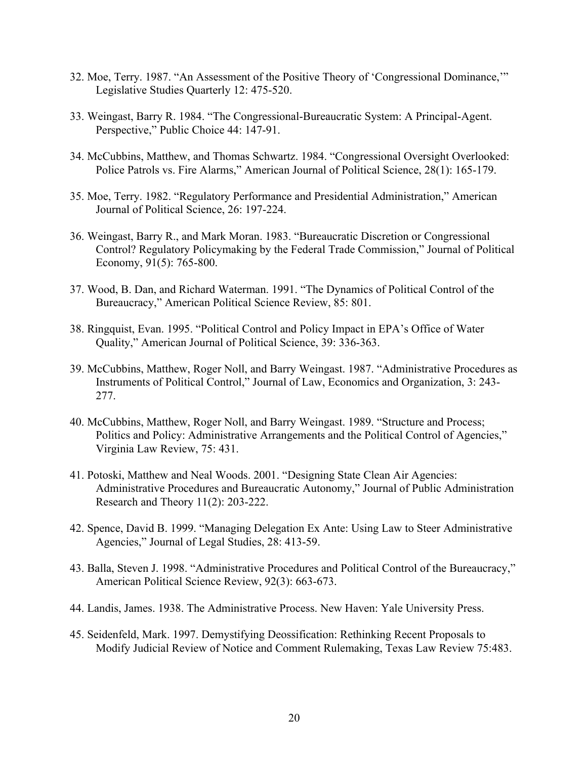- 32. Moe, Terry. 1987. "An Assessment of the Positive Theory of 'Congressional Dominance,'" Legislative Studies Quarterly 12: 475-520.
- 33. Weingast, Barry R. 1984. "The Congressional-Bureaucratic System: A Principal-Agent. Perspective," Public Choice 44: 147-91.
- 34. McCubbins, Matthew, and Thomas Schwartz. 1984. "Congressional Oversight Overlooked: Police Patrols vs. Fire Alarms," American Journal of Political Science, 28(1): 165-179.
- 35. Moe, Terry. 1982. "Regulatory Performance and Presidential Administration," American Journal of Political Science, 26: 197-224.
- 36. Weingast, Barry R., and Mark Moran. 1983. "Bureaucratic Discretion or Congressional Control? Regulatory Policymaking by the Federal Trade Commission," Journal of Political Economy, 91(5): 765-800.
- 37. Wood, B. Dan, and Richard Waterman. 1991. "The Dynamics of Political Control of the Bureaucracy," American Political Science Review, 85: 801.
- 38. Ringquist, Evan. 1995. "Political Control and Policy Impact in EPA's Office of Water Quality," American Journal of Political Science, 39: 336-363.
- 39. McCubbins, Matthew, Roger Noll, and Barry Weingast. 1987. "Administrative Procedures as Instruments of Political Control," Journal of Law, Economics and Organization, 3: 243- 277.
- 40. McCubbins, Matthew, Roger Noll, and Barry Weingast. 1989. "Structure and Process; Politics and Policy: Administrative Arrangements and the Political Control of Agencies," Virginia Law Review, 75: 431.
- 41. Potoski, Matthew and Neal Woods. 2001. "Designing State Clean Air Agencies: Administrative Procedures and Bureaucratic Autonomy," Journal of Public Administration Research and Theory 11(2): 203-222.
- 42. Spence, David B. 1999. "Managing Delegation Ex Ante: Using Law to Steer Administrative Agencies," Journal of Legal Studies, 28: 413-59.
- 43. Balla, Steven J. 1998. "Administrative Procedures and Political Control of the Bureaucracy," American Political Science Review, 92(3): 663-673.
- 44. Landis, James. 1938. The Administrative Process. New Haven: Yale University Press.
- 45. Seidenfeld, Mark. 1997. Demystifying Deossification: Rethinking Recent Proposals to Modify Judicial Review of Notice and Comment Rulemaking, Texas Law Review 75:483.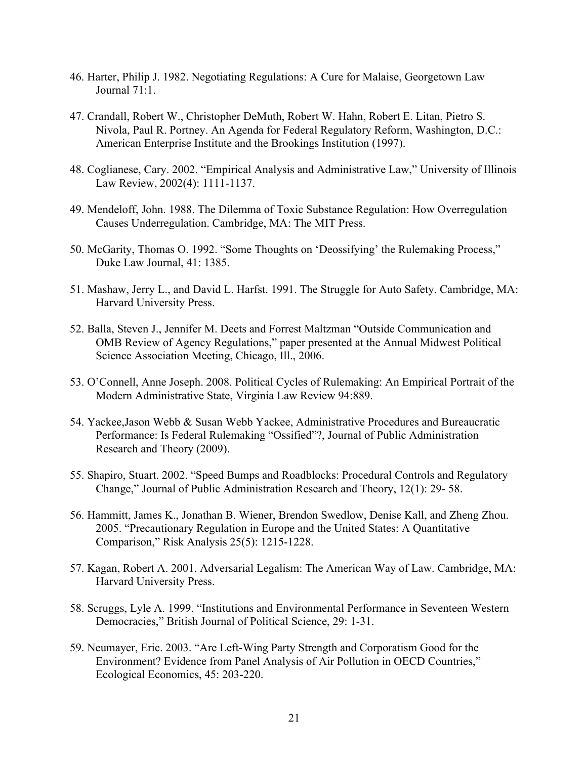- 46. Harter, Philip J. 1982. Negotiating Regulations: A Cure for Malaise, Georgetown Law Journal 71:1.
- 47. Crandall, Robert W., Christopher DeMuth, Robert W. Hahn, Robert E. Litan, Pietro S. Nivola, Paul R. Portney. An Agenda for Federal Regulatory Reform, Washington, D.C.: American Enterprise Institute and the Brookings Institution (1997).
- 48. Coglianese, Cary. 2002. "Empirical Analysis and Administrative Law," University of Illinois Law Review, 2002(4): 1111-1137.
- 49. Mendeloff, John. 1988. The Dilemma of Toxic Substance Regulation: How Overregulation Causes Underregulation. Cambridge, MA: The MIT Press.
- 50. McGarity, Thomas O. 1992. "Some Thoughts on 'Deossifying' the Rulemaking Process," Duke Law Journal, 41: 1385.
- 51. Mashaw, Jerry L., and David L. Harfst. 1991. The Struggle for Auto Safety. Cambridge, MA: Harvard University Press.
- 52. Balla, Steven J., Jennifer M. Deets and Forrest Maltzman "Outside Communication and OMB Review of Agency Regulations," paper presented at the Annual Midwest Political Science Association Meeting, Chicago, Ill., 2006.
- 53. O'Connell, Anne Joseph. 2008. Political Cycles of Rulemaking: An Empirical Portrait of the Modern Administrative State, Virginia Law Review 94:889.
- 54. Yackee,Jason Webb & Susan Webb Yackee, Administrative Procedures and Bureaucratic Performance: Is Federal Rulemaking "Ossified"?, Journal of Public Administration Research and Theory (2009).
- 55. Shapiro, Stuart. 2002. "Speed Bumps and Roadblocks: Procedural Controls and Regulatory Change," Journal of Public Administration Research and Theory, 12(1): 29- 58.
- 56. Hammitt, James K., Jonathan B. Wiener, Brendon Swedlow, Denise Kall, and Zheng Zhou. 2005. "Precautionary Regulation in Europe and the United States: A Quantitative Comparison," Risk Analysis 25(5): 1215-1228.
- 57. Kagan, Robert A. 2001. Adversarial Legalism: The American Way of Law. Cambridge, MA: Harvard University Press.
- 58. Scruggs, Lyle A. 1999. "Institutions and Environmental Performance in Seventeen Western Democracies," British Journal of Political Science, 29: 1-31.
- 59. Neumayer, Eric. 2003. "Are Left-Wing Party Strength and Corporatism Good for the Environment? Evidence from Panel Analysis of Air Pollution in OECD Countries," Ecological Economics, 45: 203-220.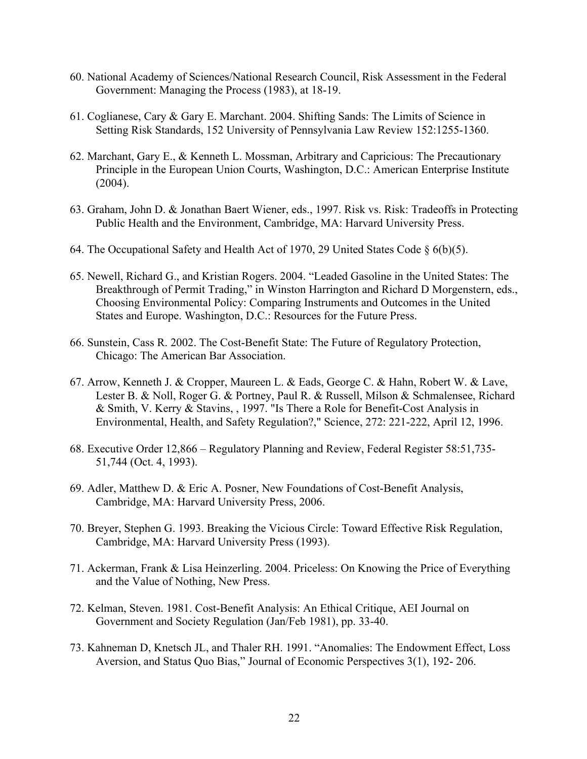- 60. National Academy of Sciences/National Research Council, Risk Assessment in the Federal Government: Managing the Process (1983), at 18-19.
- 61. Coglianese, Cary & Gary E. Marchant. 2004. Shifting Sands: The Limits of Science in Setting Risk Standards, 152 University of Pennsylvania Law Review 152:1255-1360.
- 62. Marchant, Gary E., & Kenneth L. Mossman, Arbitrary and Capricious: The Precautionary Principle in the European Union Courts, Washington, D.C.: American Enterprise Institute (2004).
- 63. Graham, John D. & Jonathan Baert Wiener, eds., 1997. Risk vs. Risk: Tradeoffs in Protecting Public Health and the Environment, Cambridge, MA: Harvard University Press.
- 64. The Occupational Safety and Health Act of 1970, 29 United States Code  $\S$  6(b)(5).
- 65. Newell, Richard G., and Kristian Rogers. 2004. "Leaded Gasoline in the United States: The Breakthrough of Permit Trading," in Winston Harrington and Richard D Morgenstern, eds., Choosing Environmental Policy: Comparing Instruments and Outcomes in the United States and Europe. Washington, D.C.: Resources for the Future Press.
- 66. Sunstein, Cass R. 2002. The Cost-Benefit State: The Future of Regulatory Protection, Chicago: The American Bar Association.
- 67. Arrow, Kenneth J. & Cropper, Maureen L. & Eads, George C. & Hahn, Robert W. & Lave, Lester B. & Noll, Roger G. & Portney, Paul R. & Russell, Milson & Schmalensee, Richard & Smith, V. Kerry & Stavins, , 1997. "Is There a Role for Benefit-Cost Analysis in Environmental, Health, and Safety Regulation?," Science, 272: 221-222, April 12, 1996.
- 68. Executive Order 12,866 Regulatory Planning and Review, Federal Register 58:51,735- 51,744 (Oct. 4, 1993).
- 69. Adler, Matthew D. & Eric A. Posner, New Foundations of Cost-Benefit Analysis, Cambridge, MA: Harvard University Press, 2006.
- 70. Breyer, Stephen G. 1993. Breaking the Vicious Circle: Toward Effective Risk Regulation, Cambridge, MA: Harvard University Press (1993).
- 71. Ackerman, Frank & Lisa Heinzerling. 2004. Priceless: On Knowing the Price of Everything and the Value of Nothing, New Press.
- 72. Kelman, Steven. 1981. Cost-Benefit Analysis: An Ethical Critique, AEI Journal on Government and Society Regulation (Jan/Feb 1981), pp. 33-40.
- 73. Kahneman D, Knetsch JL, and Thaler RH. 1991. "Anomalies: The Endowment Effect, Loss Aversion, and Status Quo Bias," Journal of Economic Perspectives 3(1), 192- 206.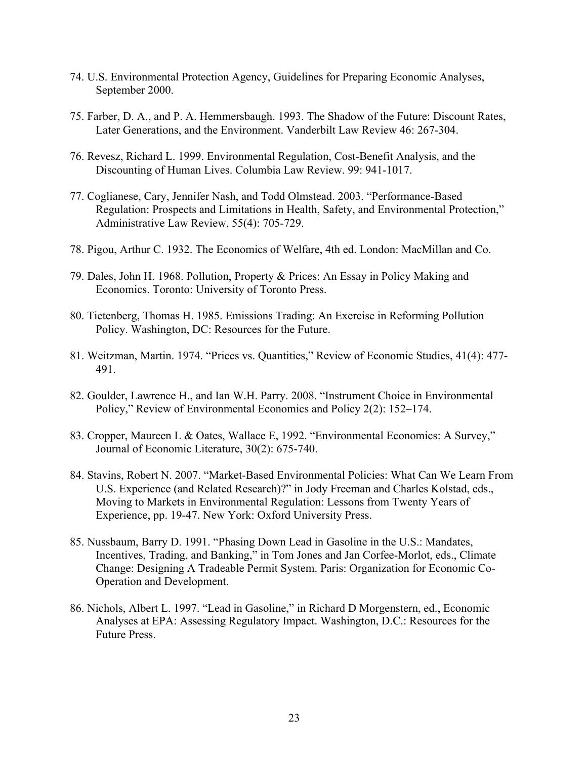- 74. U.S. Environmental Protection Agency, Guidelines for Preparing Economic Analyses, September 2000.
- 75. Farber, D. A., and P. A. Hemmersbaugh. 1993. The Shadow of the Future: Discount Rates, Later Generations, and the Environment. Vanderbilt Law Review 46: 267-304.
- 76. Revesz, Richard L. 1999. Environmental Regulation, Cost-Benefit Analysis, and the Discounting of Human Lives. Columbia Law Review. 99: 941-1017.
- 77. Coglianese, Cary, Jennifer Nash, and Todd Olmstead. 2003. "Performance-Based Regulation: Prospects and Limitations in Health, Safety, and Environmental Protection," Administrative Law Review, 55(4): 705-729.
- 78. Pigou, Arthur C. 1932. The Economics of Welfare, 4th ed. London: MacMillan and Co.
- 79. Dales, John H. 1968. Pollution, Property & Prices: An Essay in Policy Making and Economics. Toronto: University of Toronto Press.
- 80. Tietenberg, Thomas H. 1985. Emissions Trading: An Exercise in Reforming Pollution Policy. Washington, DC: Resources for the Future.
- 81. Weitzman, Martin. 1974. "Prices vs. Quantities," Review of Economic Studies, 41(4): 477- 491.
- 82. Goulder, Lawrence H., and Ian W.H. Parry. 2008. "Instrument Choice in Environmental Policy," Review of Environmental Economics and Policy 2(2): 152–174.
- 83. Cropper, Maureen L & Oates, Wallace E, 1992. "Environmental Economics: A Survey," Journal of Economic Literature, 30(2): 675-740.
- 84. Stavins, Robert N. 2007. "Market-Based Environmental Policies: What Can We Learn From U.S. Experience (and Related Research)?" in Jody Freeman and Charles Kolstad, eds., Moving to Markets in Environmental Regulation: Lessons from Twenty Years of Experience, pp. 19-47. New York: Oxford University Press.
- 85. Nussbaum, Barry D. 1991. "Phasing Down Lead in Gasoline in the U.S.: Mandates, Incentives, Trading, and Banking," in Tom Jones and Jan Corfee-Morlot, eds., Climate Change: Designing A Tradeable Permit System. Paris: Organization for Economic Co-Operation and Development.
- 86. Nichols, Albert L. 1997. "Lead in Gasoline," in Richard D Morgenstern, ed., Economic Analyses at EPA: Assessing Regulatory Impact. Washington, D.C.: Resources for the Future Press.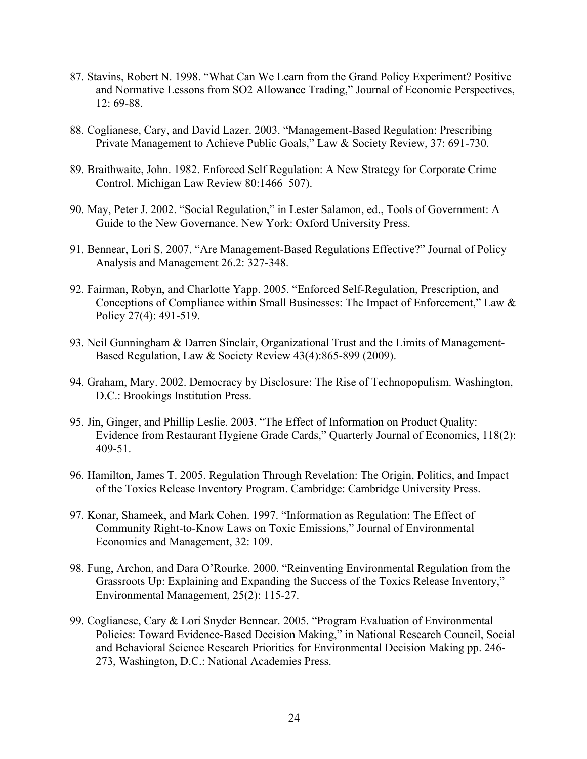- 87. Stavins, Robert N. 1998. "What Can We Learn from the Grand Policy Experiment? Positive and Normative Lessons from SO2 Allowance Trading," Journal of Economic Perspectives, 12: 69-88.
- 88. Coglianese, Cary, and David Lazer. 2003. "Management-Based Regulation: Prescribing Private Management to Achieve Public Goals," Law & Society Review, 37: 691-730.
- 89. Braithwaite, John. 1982. Enforced Self Regulation: A New Strategy for Corporate Crime Control. Michigan Law Review 80:1466–507).
- 90. May, Peter J. 2002. "Social Regulation," in Lester Salamon, ed., Tools of Government: A Guide to the New Governance. New York: Oxford University Press.
- 91. Bennear, Lori S. 2007. "Are Management-Based Regulations Effective?" Journal of Policy Analysis and Management 26.2: 327-348.
- 92. Fairman, Robyn, and Charlotte Yapp. 2005. "Enforced Self-Regulation, Prescription, and Conceptions of Compliance within Small Businesses: The Impact of Enforcement," Law & Policy 27(4): 491-519.
- 93. Neil Gunningham & Darren Sinclair, Organizational Trust and the Limits of Management-Based Regulation, Law & Society Review 43(4):865-899 (2009).
- 94. Graham, Mary. 2002. Democracy by Disclosure: The Rise of Technopopulism. Washington, D.C.: Brookings Institution Press.
- 95. Jin, Ginger, and Phillip Leslie. 2003. "The Effect of Information on Product Quality: Evidence from Restaurant Hygiene Grade Cards," Quarterly Journal of Economics, 118(2): 409-51.
- 96. Hamilton, James T. 2005. Regulation Through Revelation: The Origin, Politics, and Impact of the Toxics Release Inventory Program. Cambridge: Cambridge University Press.
- 97. Konar, Shameek, and Mark Cohen. 1997. "Information as Regulation: The Effect of Community Right-to-Know Laws on Toxic Emissions," Journal of Environmental Economics and Management, 32: 109.
- 98. Fung, Archon, and Dara O'Rourke. 2000. "Reinventing Environmental Regulation from the Grassroots Up: Explaining and Expanding the Success of the Toxics Release Inventory," Environmental Management, 25(2): 115-27.
- 99. Coglianese, Cary & Lori Snyder Bennear. 2005. "Program Evaluation of Environmental Policies: Toward Evidence-Based Decision Making," in National Research Council, Social and Behavioral Science Research Priorities for Environmental Decision Making pp. 246- 273, Washington, D.C.: National Academies Press.